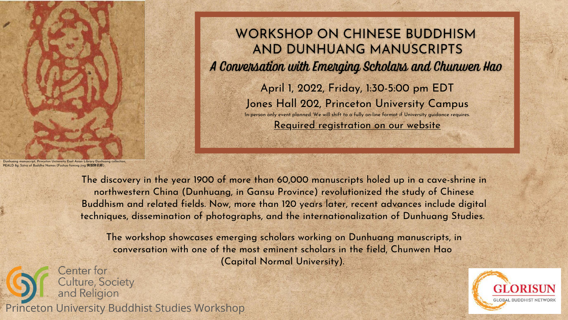

## **WORKSHOP ON CHINESE BUDDHISM** AND DUNHUANG MANUSCRIPTS A Conversation with Emerging Scholars and Chunwen Hao April 1, 2022, Friday, 1:30-5:00 pm EDT Jones Hall 202, Princeton University Campus

In-person only event planned. We will shift to a fully on-line format if University guidance requires.

[Required registration on our website](https://csr.princeton.edu/events/2022/dunhuang-emerging-scholars-hao)

The discovery in the year 1900 of more than 60,000 manuscripts holed up in a cave-shrine in northwestern China (Dunhuang, in Gansu Province) revolutionized the study of Chinese Buddhism and related fields. Now, more than 120 years later, recent advances include digital techniques, dissemination of photographs, and the internationalization of Dunhuang Studies.

nanuscript, Princeton University East Asian Library Dunhuang collectior PEALD 8g. Sūtra of Buddha Names (Foshuo foming jing 佛說佛名經)

Center for **Culture, Society** and Religion Princeton University Buddhist Studies Workshop



The workshop showcases emerging scholars working on Dunhuang manuscripts, in conversation with one of the most eminent scholars in the field, Chunwen Hao (Capital Normal University).